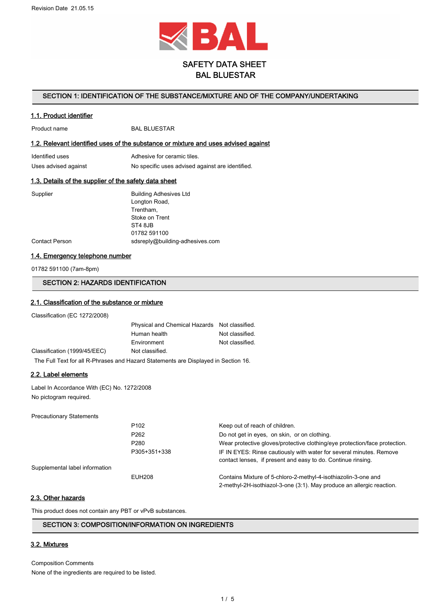

# SAFETY DATA SHEET BAL BLUESTAR

#### SECTION 1: IDENTIFICATION OF THE SUBSTANCE/MIXTURE AND OF THE COMPANY/UNDERTAKING

#### 1.1. Product identifier

Product name BAL BLUESTAR

#### 1.2. Relevant identified uses of the substance or mixture and uses advised against

| Identified uses      | Adhesive for ceramic tiles.                      |
|----------------------|--------------------------------------------------|
| Uses advised against | No specific uses advised against are identified. |

## 1.3. Details of the supplier of the safety data sheet

| Supplier       | <b>Building Adhesives Ltd</b>   |
|----------------|---------------------------------|
|                | Longton Road,                   |
|                | Trentham,                       |
|                | Stoke on Trent                  |
|                | ST4 8JB                         |
|                | 01782 591100                    |
| Contact Person | sdsreply@building-adhesives.com |
|                |                                 |

## 1.4. Emergency telephone number

01782 591100 (7am-8pm)

# SECTION 2: HAZARDS IDENTIFICATION

## 2.1. Classification of the substance or mixture

Classification (EC 1272/2008)

|                                                                                    | Physical and Chemical Hazards Not classified. |                 |  |
|------------------------------------------------------------------------------------|-----------------------------------------------|-----------------|--|
|                                                                                    | Human health                                  | Not classified. |  |
|                                                                                    | Environment                                   | Not classified. |  |
| Classification (1999/45/EEC)                                                       | Not classified.                               |                 |  |
| The Full Text for all R-Phrases and Hazard Statements are Displayed in Section 16. |                                               |                 |  |

#### 2.2. Label elements

Label In Accordance With (EC) No. 1272/2008 No pictogram required.

Precautionary Statements

Supplemental label information

| P <sub>102</sub> | Keep out of reach of children.                                                                                                          |
|------------------|-----------------------------------------------------------------------------------------------------------------------------------------|
| P <sub>262</sub> | Do not get in eyes, on skin, or on clothing.                                                                                            |
| P <sub>280</sub> | Wear protective gloves/protective clothing/eye protection/face protection.                                                              |
| P305+351+338     | IF IN EYES: Rinse cautiously with water for several minutes. Remove<br>contact lenses, if present and easy to do. Continue rinsing.     |
| EUH208           | Contains Mixture of 5-chloro-2-methyl-4-isothiazolin-3-one and<br>2-methyl-2H-isothiazol-3-one (3:1). May produce an allergic reaction. |

## 2.3. Other hazards

This product does not contain any PBT or vPvB substances.

## SECTION 3: COMPOSITION/INFORMATION ON INGREDIENTS

# 3.2. Mixtures

Composition Comments

None of the ingredients are required to be listed.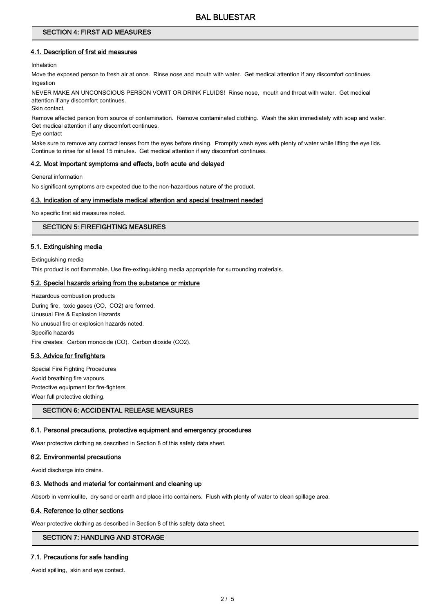# BAL BLUESTAR

#### SECTION 4: FIRST AID MEASURES

#### 4.1. Description of first aid measures

Inhalation

Move the exposed person to fresh air at once. Rinse nose and mouth with water. Get medical attention if any discomfort continues. Ingestion

NEVER MAKE AN UNCONSCIOUS PERSON VOMIT OR DRINK FLUIDS! Rinse nose, mouth and throat with water. Get medical attention if any discomfort continues.

Skin contact

Remove affected person from source of contamination. Remove contaminated clothing. Wash the skin immediately with soap and water. Get medical attention if any discomfort continues.

Eye contact

Make sure to remove any contact lenses from the eyes before rinsing. Promptly wash eyes with plenty of water while lifting the eye lids. Continue to rinse for at least 15 minutes. Get medical attention if any discomfort continues.

#### 4.2. Most important symptoms and effects, both acute and delayed

General information

No significant symptoms are expected due to the non-hazardous nature of the product.

## 4.3. Indication of any immediate medical attention and special treatment needed

No specific first aid measures noted.

## SECTION 5: FIREFIGHTING MEASURES

## 5.1. Extinguishing media

Extinguishing media This product is not flammable. Use fire-extinguishing media appropriate for surrounding materials.

## 5.2. Special hazards arising from the substance or mixture

Hazardous combustion products During fire, toxic gases (CO, CO2) are formed. Unusual Fire & Explosion Hazards No unusual fire or explosion hazards noted. Specific hazards Fire creates: Carbon monoxide (CO). Carbon dioxide (CO2).

#### 5.3. Advice for firefighters

Special Fire Fighting Procedures Avoid breathing fire vapours. Protective equipment for fire-fighters Wear full protective clothing.

## SECTION 6: ACCIDENTAL RELEASE MEASURES

#### 6.1. Personal precautions, protective equipment and emergency procedures

Wear protective clothing as described in Section 8 of this safety data sheet.

#### 6.2. Environmental precautions

Avoid discharge into drains.

#### 6.3. Methods and material for containment and cleaning up

Absorb in vermiculite, dry sand or earth and place into containers. Flush with plenty of water to clean spillage area.

#### 6.4. Reference to other sections

Wear protective clothing as described in Section 8 of this safety data sheet.

# SECTION 7: HANDLING AND STORAGE

## 7.1. Precautions for safe handling

Avoid spilling, skin and eye contact.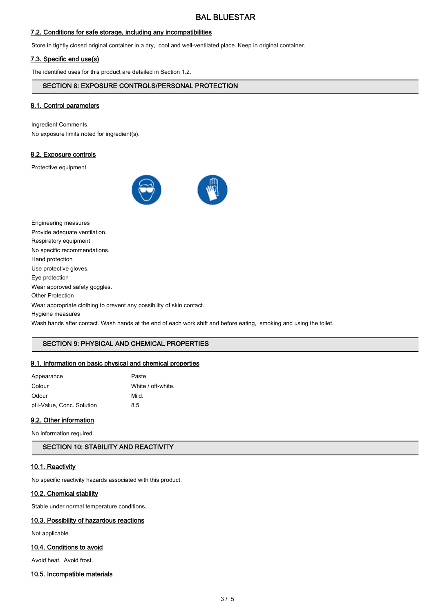## 7.2. Conditions for safe storage, including any incompatibilities

Store in tightly closed original container in a dry, cool and well-ventilated place. Keep in original container.

## 7.3. Specific end use(s)

The identified uses for this product are detailed in Section 1.2.

## SECTION 8: EXPOSURE CONTROLS/PERSONAL PROTECTION

## 8.1. Control parameters

Ingredient Comments No exposure limits noted for ingredient(s).

#### 8.2. Exposure controls

Protective equipment



| Engineering measures                                                                                                |
|---------------------------------------------------------------------------------------------------------------------|
| Provide adequate ventilation.                                                                                       |
| Respiratory equipment                                                                                               |
| No specific recommendations.                                                                                        |
| Hand protection                                                                                                     |
| Use protective gloves.                                                                                              |
| Eye protection                                                                                                      |
| Wear approved safety goggles.                                                                                       |
| <b>Other Protection</b>                                                                                             |
| Wear appropriate clothing to prevent any possibility of skin contact.                                               |
| Hygiene measures                                                                                                    |
| Wash hands after contact. Wash hands at the end of each work shift and before eating, smoking and using the toilet. |

# SECTION 9: PHYSICAL AND CHEMICAL PROPERTIES

## 9.1. Information on basic physical and chemical properties

| Appearance               | Paste              |
|--------------------------|--------------------|
| Colour                   | White / off-white. |
| Odour                    | Mild.              |
| pH-Value, Conc. Solution | 85                 |

## 9.2. Other information

No information required.

SECTION 10: STABILITY AND REACTIVITY

## 10.1. Reactivity

No specific reactivity hazards associated with this product.

#### 10.2. Chemical stability

Stable under normal temperature conditions.

## 10.3. Possibility of hazardous reactions

Not applicable.

## 10.4. Conditions to avoid

Avoid heat. Avoid frost.

## 10.5. Incompatible materials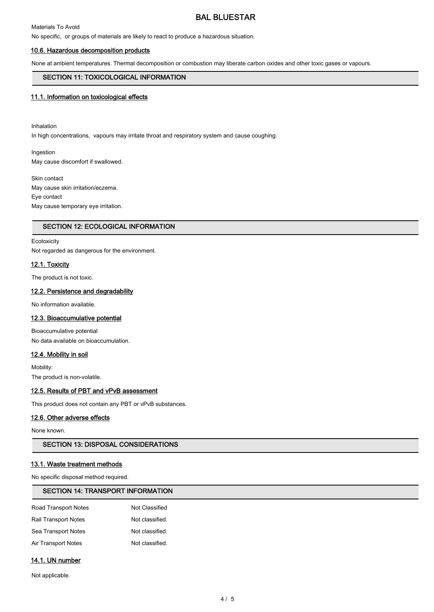# BAL BLUESTAR

## Materials To Avoid

No specific, or groups of materials are likely to react to produce a hazardous situation.

#### 10.6. Hazardous decomposition products

None at ambient temperatures. Thermal decomposition or combustion may liberate carbon oxides and other toxic gases or vapours.

## SECTION 11: TOXICOLOGICAL INFORMATION

#### 11.1. Information on toxicological effects

Inhalation In high concentrations, vapours may irritate throat and respiratory system and cause coughing.

Ingestion May cause discomfort if swallowed.

Skin contact May cause skin irritation/eczema. Eye contact May cause temporary eye irritation.

#### SECTION 12: ECOLOGICAL INFORMATION

#### **Ecotoxicity**

Not regarded as dangerous for the environment.

#### 12.1. Toxicity

The product is not toxic.

#### 12.2. Persistence and degradability

No information available.

#### 12.3. Bioaccumulative potential

Bioaccumulative potential No data available on bioaccumulation.

#### 12.4. Mobility in soil

Mobility: The product is non-volatile.

## 12.5. Results of PBT and vPvB assessment

This product does not contain any PBT or vPvB substances.

#### 12.6. Other adverse effects

None known.

# SECTION 13: DISPOSAL CONSIDERATIONS

## 13.1. Waste treatment methods

No specific disposal method required.

#### SECTION 14: TRANSPORT INFORMATION

| <b>Road Transport Notes</b> | Not Classified  |
|-----------------------------|-----------------|
| <b>Rail Transport Notes</b> | Not classified. |
| Sea Transport Notes         | Not classified. |
| Air Transport Notes         | Not classified. |

## 14.1. UN number

Not applicable.